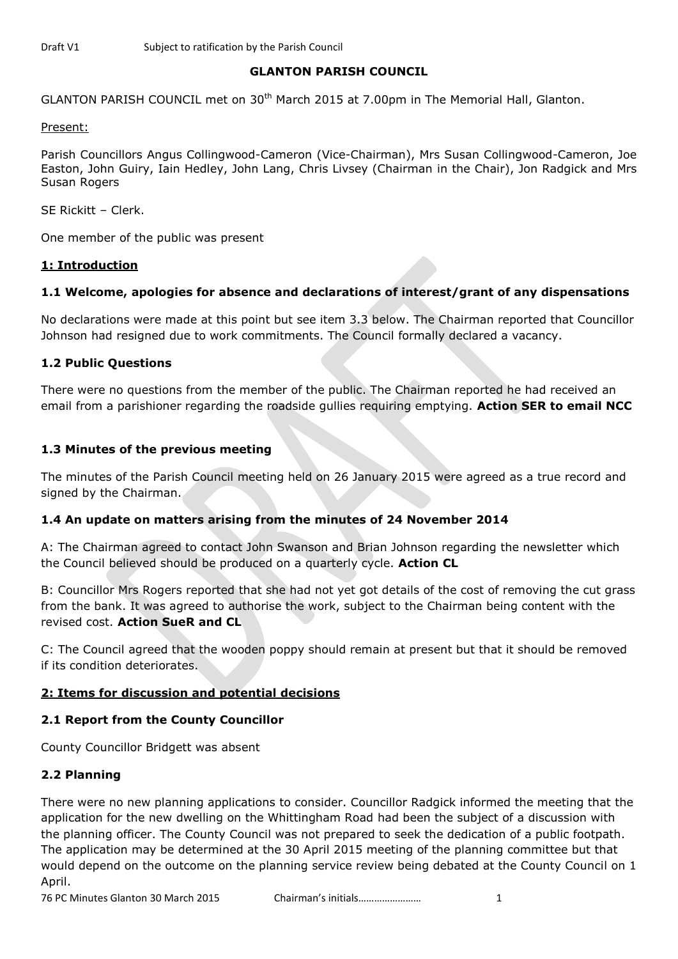## **GLANTON PARISH COUNCIL**

GLANTON PARISH COUNCIL met on 30<sup>th</sup> March 2015 at 7.00pm in The Memorial Hall, Glanton.

#### Present:

Parish Councillors Angus Collingwood-Cameron (Vice-Chairman), Mrs Susan Collingwood-Cameron, Joe Easton, John Guiry, Iain Hedley, John Lang, Chris Livsey (Chairman in the Chair), Jon Radgick and Mrs Susan Rogers

SE Rickitt – Clerk.

One member of the public was present

#### **1: Introduction**

## **1.1 Welcome, apologies for absence and declarations of interest/grant of any dispensations**

No declarations were made at this point but see item 3.3 below. The Chairman reported that Councillor Johnson had resigned due to work commitments. The Council formally declared a vacancy.

## **1.2 Public Questions**

There were no questions from the member of the public. The Chairman reported he had received an email from a parishioner regarding the roadside gullies requiring emptying. **Action SER to email NCC**

## **1.3 Minutes of the previous meeting**

The minutes of the Parish Council meeting held on 26 January 2015 were agreed as a true record and signed by the Chairman.

## **1.4 An update on matters arising from the minutes of 24 November 2014**

A: The Chairman agreed to contact John Swanson and Brian Johnson regarding the newsletter which the Council believed should be produced on a quarterly cycle. **Action CL**

B: Councillor Mrs Rogers reported that she had not yet got details of the cost of removing the cut grass from the bank. It was agreed to authorise the work, subject to the Chairman being content with the revised cost. **Action SueR and CL**

C: The Council agreed that the wooden poppy should remain at present but that it should be removed if its condition deteriorates.

## **2: Items for discussion and potential decisions**

## **2.1 Report from the County Councillor**

County Councillor Bridgett was absent

## **2.2 Planning**

There were no new planning applications to consider. Councillor Radgick informed the meeting that the application for the new dwelling on the Whittingham Road had been the subject of a discussion with the planning officer. The County Council was not prepared to seek the dedication of a public footpath. The application may be determined at the 30 April 2015 meeting of the planning committee but that would depend on the outcome on the planning service review being debated at the County Council on 1 April.

76 PC Minutes Glanton 30 March 2015 Chairman's initials…………………… 1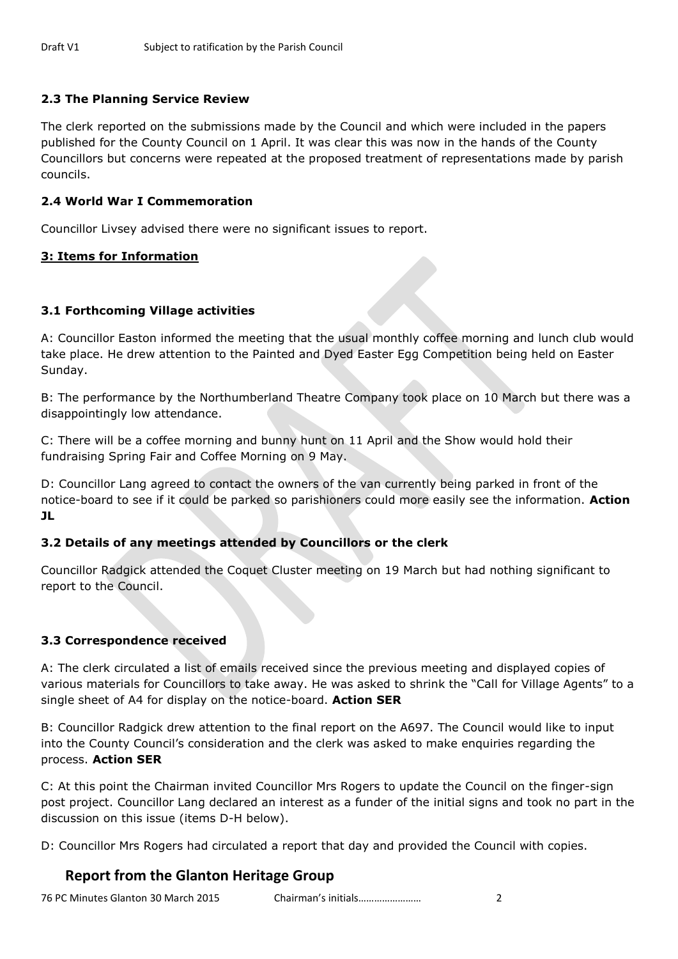## **2.3 The Planning Service Review**

The clerk reported on the submissions made by the Council and which were included in the papers published for the County Council on 1 April. It was clear this was now in the hands of the County Councillors but concerns were repeated at the proposed treatment of representations made by parish councils.

## **2.4 World War I Commemoration**

Councillor Livsey advised there were no significant issues to report.

## **3: Items for Information**

## **3.1 Forthcoming Village activities**

A: Councillor Easton informed the meeting that the usual monthly coffee morning and lunch club would take place. He drew attention to the Painted and Dyed Easter Egg Competition being held on Easter Sunday.

B: The performance by the Northumberland Theatre Company took place on 10 March but there was a disappointingly low attendance.

C: There will be a coffee morning and bunny hunt on 11 April and the Show would hold their fundraising Spring Fair and Coffee Morning on 9 May.

D: Councillor Lang agreed to contact the owners of the van currently being parked in front of the notice-board to see if it could be parked so parishioners could more easily see the information. **Action JL**

## **3.2 Details of any meetings attended by Councillors or the clerk**

Councillor Radgick attended the Coquet Cluster meeting on 19 March but had nothing significant to report to the Council.

## **3.3 Correspondence received**

A: The clerk circulated a list of emails received since the previous meeting and displayed copies of various materials for Councillors to take away. He was asked to shrink the "Call for Village Agents" to a single sheet of A4 for display on the notice-board. **Action SER**

B: Councillor Radgick drew attention to the final report on the A697. The Council would like to input into the County Council's consideration and the clerk was asked to make enquiries regarding the process. **Action SER**

C: At this point the Chairman invited Councillor Mrs Rogers to update the Council on the finger-sign post project. Councillor Lang declared an interest as a funder of the initial signs and took no part in the discussion on this issue (items D-H below).

D: Councillor Mrs Rogers had circulated a report that day and provided the Council with copies.

# **Report from the Glanton Heritage Group**

76 PC Minutes Glanton 30 March 2015 Chairman's initials…………………… 2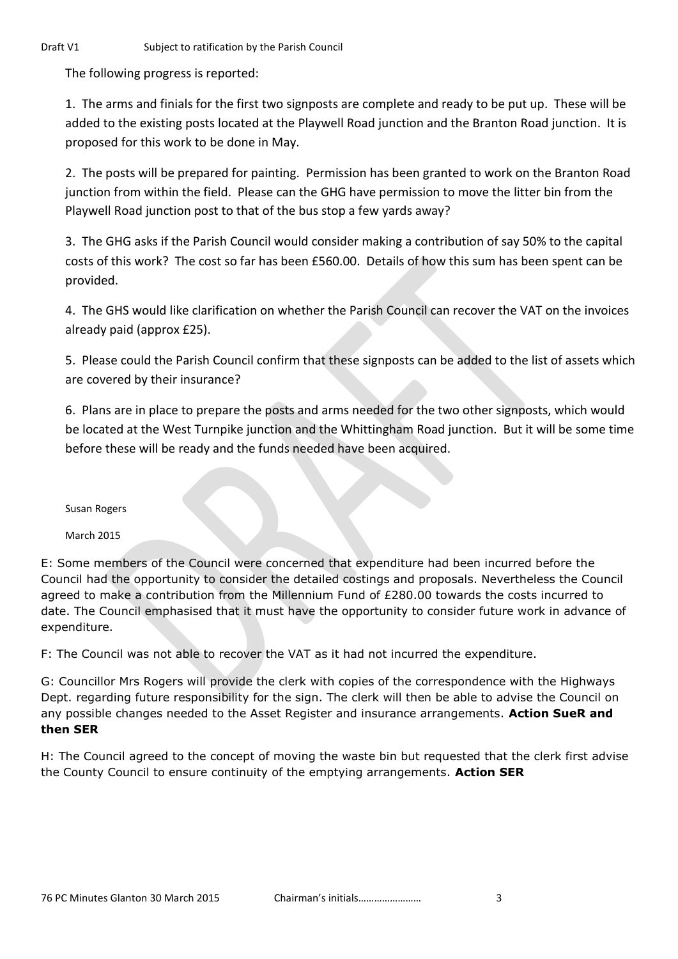The following progress is reported:

1. The arms and finials for the first two signposts are complete and ready to be put up. These will be added to the existing posts located at the Playwell Road junction and the Branton Road junction. It is proposed for this work to be done in May.

2. The posts will be prepared for painting. Permission has been granted to work on the Branton Road junction from within the field. Please can the GHG have permission to move the litter bin from the Playwell Road junction post to that of the bus stop a few yards away?

3. The GHG asks if the Parish Council would consider making a contribution of say 50% to the capital costs of this work? The cost so far has been £560.00. Details of how this sum has been spent can be provided.

4. The GHS would like clarification on whether the Parish Council can recover the VAT on the invoices already paid (approx £25).

5. Please could the Parish Council confirm that these signposts can be added to the list of assets which are covered by their insurance?

6. Plans are in place to prepare the posts and arms needed for the two other signposts, which would be located at the West Turnpike junction and the Whittingham Road junction. But it will be some time before these will be ready and the funds needed have been acquired.

Susan Rogers

March 2015

E: Some members of the Council were concerned that expenditure had been incurred before the Council had the opportunity to consider the detailed costings and proposals. Nevertheless the Council agreed to make a contribution from the Millennium Fund of £280.00 towards the costs incurred to date. The Council emphasised that it must have the opportunity to consider future work in advance of expenditure.

F: The Council was not able to recover the VAT as it had not incurred the expenditure.

G: Councillor Mrs Rogers will provide the clerk with copies of the correspondence with the Highways Dept. regarding future responsibility for the sign. The clerk will then be able to advise the Council on any possible changes needed to the Asset Register and insurance arrangements. **Action SueR and then SER**

H: The Council agreed to the concept of moving the waste bin but requested that the clerk first advise the County Council to ensure continuity of the emptying arrangements. **Action SER**